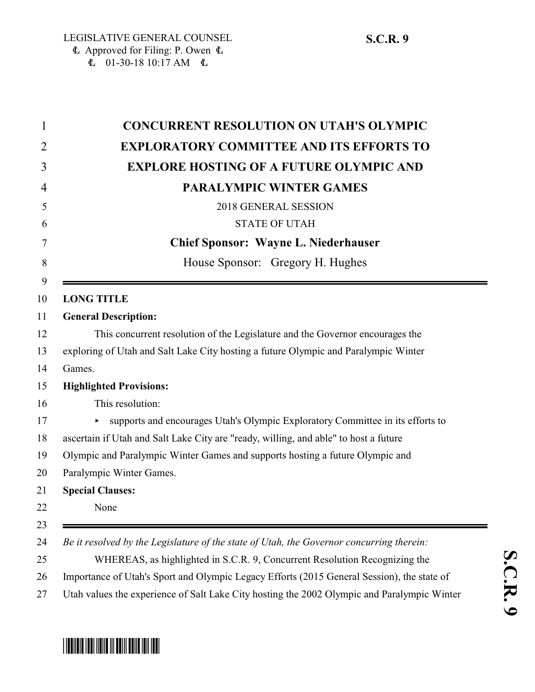| 1  | <b>CONCURRENT RESOLUTION ON UTAH'S OLYMPIC</b>                                              |
|----|---------------------------------------------------------------------------------------------|
| 2  | <b>EXPLORATORY COMMITTEE AND ITS EFFORTS TO</b>                                             |
| 3  | <b>EXPLORE HOSTING OF A FUTURE OLYMPIC AND</b>                                              |
| 4  | <b>PARALYMPIC WINTER GAMES</b>                                                              |
| 5  | 2018 GENERAL SESSION                                                                        |
| 6  | <b>STATE OF UTAH</b>                                                                        |
| 7  | <b>Chief Sponsor: Wayne L. Niederhauser</b>                                                 |
| 8  | House Sponsor: Gregory H. Hughes                                                            |
| 9  |                                                                                             |
| 10 | <b>LONG TITLE</b>                                                                           |
| 11 | <b>General Description:</b>                                                                 |
| 12 | This concurrent resolution of the Legislature and the Governor encourages the               |
| 13 | exploring of Utah and Salt Lake City hosting a future Olympic and Paralympic Winter         |
| 14 | Games.                                                                                      |
| 15 | <b>Highlighted Provisions:</b>                                                              |
| 16 | This resolution:                                                                            |
| 17 | supports and encourages Utah's Olympic Exploratory Committee in its efforts to<br>Þ.        |
| 18 | ascertain if Utah and Salt Lake City are "ready, willing, and able" to host a future        |
| 19 | Olympic and Paralympic Winter Games and supports hosting a future Olympic and               |
| 20 | Paralympic Winter Games.                                                                    |
| 21 | <b>Special Clauses:</b>                                                                     |
| 22 | None                                                                                        |
| 23 |                                                                                             |
| 24 | Be it resolved by the Legislature of the state of Utah, the Governor concurring therein:    |
| 25 | WHEREAS, as highlighted in S.C.R. 9, Concurrent Resolution Recognizing the                  |
| 26 | Importance of Utah's Sport and Olympic Legacy Efforts (2015 General Session), the state of  |
| 27 | Utah values the experience of Salt Lake City hosting the 2002 Olympic and Paralympic Winter |



## \*SCR009\*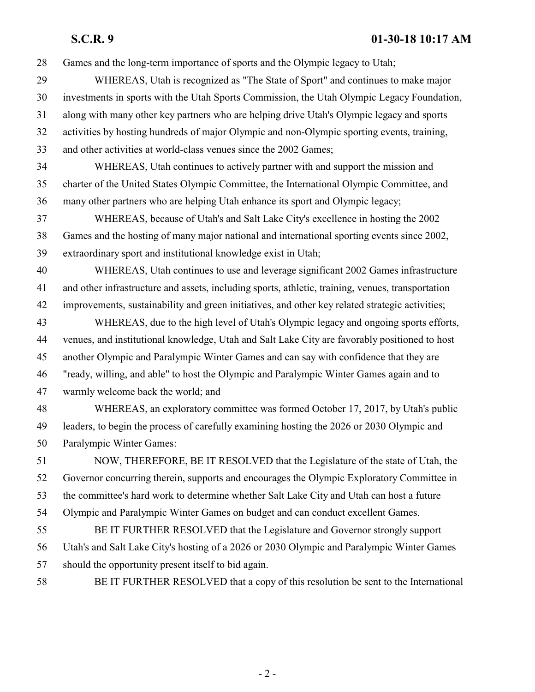## **S.C.R. 9 01-30-18 10:17 AM**

| 28 | Games and the long-term importance of sports and the Olympic legacy to Utah;                      |
|----|---------------------------------------------------------------------------------------------------|
| 29 | WHEREAS, Utah is recognized as "The State of Sport" and continues to make major                   |
| 30 | investments in sports with the Utah Sports Commission, the Utah Olympic Legacy Foundation,        |
| 31 | along with many other key partners who are helping drive Utah's Olympic legacy and sports         |
| 32 | activities by hosting hundreds of major Olympic and non-Olympic sporting events, training,        |
| 33 | and other activities at world-class venues since the 2002 Games;                                  |
| 34 | WHEREAS, Utah continues to actively partner with and support the mission and                      |
| 35 | charter of the United States Olympic Committee, the International Olympic Committee, and          |
| 36 | many other partners who are helping Utah enhance its sport and Olympic legacy;                    |
| 37 | WHEREAS, because of Utah's and Salt Lake City's excellence in hosting the 2002                    |
| 38 | Games and the hosting of many major national and international sporting events since 2002,        |
| 39 | extraordinary sport and institutional knowledge exist in Utah;                                    |
| 40 | WHEREAS, Utah continues to use and leverage significant 2002 Games infrastructure                 |
| 41 | and other infrastructure and assets, including sports, athletic, training, venues, transportation |
| 42 | improvements, sustainability and green initiatives, and other key related strategic activities;   |
| 43 | WHEREAS, due to the high level of Utah's Olympic legacy and ongoing sports efforts,               |
| 44 | venues, and institutional knowledge, Utah and Salt Lake City are favorably positioned to host     |
| 45 | another Olympic and Paralympic Winter Games and can say with confidence that they are             |
| 46 | "ready, willing, and able" to host the Olympic and Paralympic Winter Games again and to           |
| 47 | warmly welcome back the world; and                                                                |
| 48 | WHEREAS, an exploratory committee was formed October 17, 2017, by Utah's public                   |
| 49 | leaders, to begin the process of carefully examining hosting the 2026 or 2030 Olympic and         |
| 50 | Paralympic Winter Games:                                                                          |
| 51 | NOW, THEREFORE, BE IT RESOLVED that the Legislature of the state of Utah, the                     |
| 52 | Governor concurring therein, supports and encourages the Olympic Exploratory Committee in         |
| 53 | the committee's hard work to determine whether Salt Lake City and Utah can host a future          |
| 54 | Olympic and Paralympic Winter Games on budget and can conduct excellent Games.                    |
| 55 | BE IT FURTHER RESOLVED that the Legislature and Governor strongly support                         |
| 56 | Utah's and Salt Lake City's hosting of a 2026 or 2030 Olympic and Paralympic Winter Games         |
| 57 | should the opportunity present itself to bid again.                                               |
| 58 | BE IT FURTHER RESOLVED that a copy of this resolution be sent to the International                |